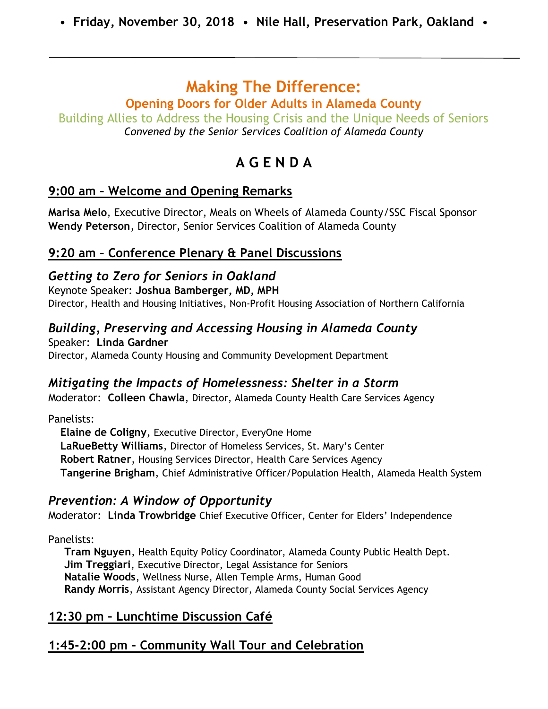# **Making The Difference:**

### **Opening Doors for Older Adults in Alameda County**

Building Allies to Address the Housing Crisis and the Unique Needs of Seniors *Convened by the Senior Services Coalition of Alameda County*

# **A G E N D A**

### **9:00 am – Welcome and Opening Remarks**

**Marisa Melo**, Executive Director, Meals on Wheels of Alameda County/SSC Fiscal Sponsor **Wendy Peterson**, Director, Senior Services Coalition of Alameda County

### **9:20 am – Conference Plenary & Panel Discussions**

#### *Getting to Zero for Seniors in Oakland* Keynote Speaker: **Joshua Bamberger, MD, MPH** Director, Health and Housing Initiatives, Non-Profit Housing Association of Northern California

# *Building, Preserving and Accessing Housing in Alameda County*

Speaker: **Linda Gardner** Director, Alameda County Housing and Community Development Department

### *Mitigating the Impacts of Homelessness: Shelter in a Storm*

Moderator: **Colleen Chawla**, Director, Alameda County Health Care Services Agency

Panelists:

**Elaine de Coligny**, Executive Director, EveryOne Home **LaRueBetty Williams**, Director of Homeless Services, St. Mary's Center **Robert Ratner**, Housing Services Director, Health Care Services Agency **Tangerine Brigham**, Chief Administrative Officer/Population Health, Alameda Health System

### *Prevention: A Window of Opportunity*

Moderator: **Linda Trowbridge** Chief Executive Officer, Center for Elders' Independence

Panelists:

**Tram Nguyen**, Health Equity Policy Coordinator, Alameda County Public Health Dept. **Jim Treggiari**, Executive Director, Legal Assistance for Seniors **Natalie Woods**, Wellness Nurse, Allen Temple Arms, Human Good **Randy Morris**, Assistant Agency Director, Alameda County Social Services Agency

# **12:30 pm – Lunchtime Discussion Café**

# **1:45-2:00 pm – Community Wall Tour and Celebration**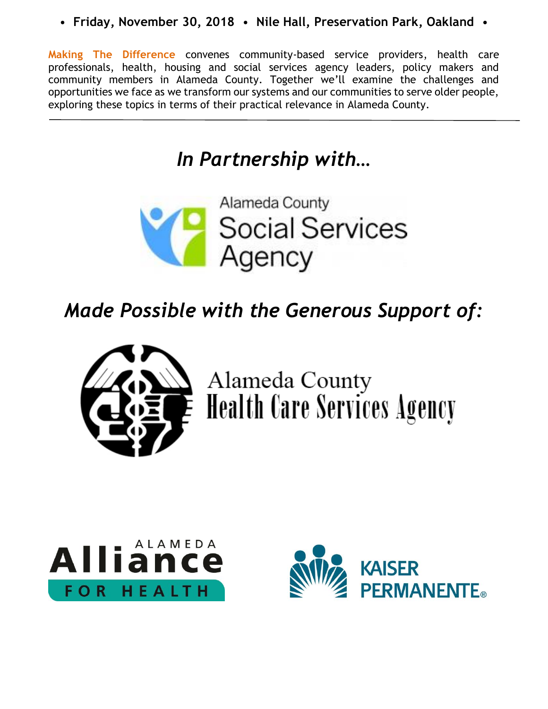**Making The Difference** convenes community-based service providers, health care professionals, health, housing and social services agency leaders, policy makers and community members in Alameda County. Together we'll examine the challenges and opportunities we face as we transform our systems and our communities to serve older people, exploring these topics in terms of their practical relevance in Alameda County.

# *In Partnership with…*



# *Made Possible with the Generous Support of:*



Alameda County<br>Health Care Services Agency



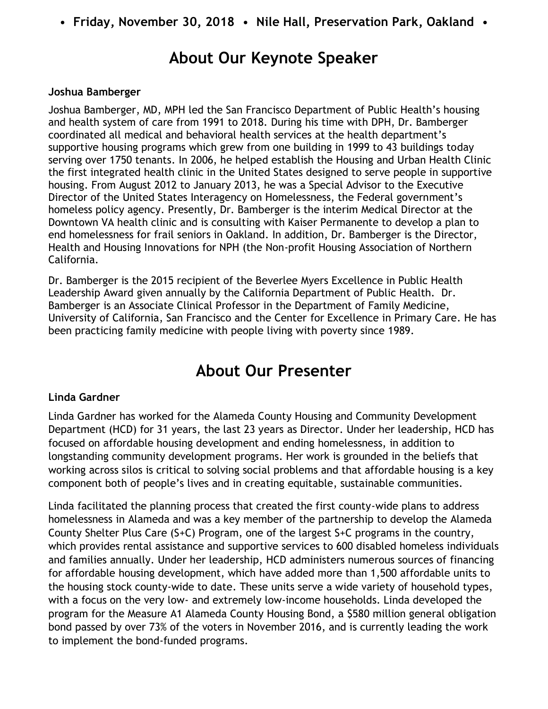# **About Our Keynote Speaker**

#### **Joshua Bamberger**

Joshua Bamberger, MD, MPH led the San Francisco Department of Public Health's housing and health system of care from 1991 to 2018. During his time with DPH, Dr. Bamberger coordinated all medical and behavioral health services at the health department's supportive housing programs which grew from one building in 1999 to 43 buildings today serving over 1750 tenants. In 2006, he helped establish the Housing and Urban Health Clinic the first integrated health clinic in the United States designed to serve people in supportive housing. From August 2012 to January 2013, he was a Special Advisor to the Executive Director of the United States Interagency on Homelessness, the Federal government's homeless policy agency. Presently, Dr. Bamberger is the interim Medical Director at the Downtown VA health clinic and is consulting with Kaiser Permanente to develop a plan to end homelessness for frail seniors in Oakland. In addition, Dr. Bamberger is the Director, Health and Housing Innovations for NPH (the Non-profit Housing Association of Northern California.

Dr. Bamberger is the 2015 recipient of the Beverlee Myers Excellence in Public Health Leadership Award given annually by the California Department of Public Health. Dr. Bamberger is an Associate Clinical Professor in the Department of Family Medicine, University of California, San Francisco and the Center for Excellence in Primary Care. He has been practicing family medicine with people living with poverty since 1989.

# **About Our Presenter**

#### **Linda Gardner**

Linda Gardner has worked for the Alameda County Housing and Community Development Department (HCD) for 31 years, the last 23 years as Director. Under her leadership, HCD has focused on affordable housing development and ending homelessness, in addition to longstanding community development programs. Her work is grounded in the beliefs that working across silos is critical to solving social problems and that affordable housing is a key component both of people's lives and in creating equitable, sustainable communities.

Linda facilitated the planning process that created the first county-wide plans to address homelessness in Alameda and was a key member of the partnership to develop the Alameda County Shelter Plus Care (S+C) Program, one of the largest S+C programs in the country, which provides rental assistance and supportive services to 600 disabled homeless individuals and families annually. Under her leadership, HCD administers numerous sources of financing for affordable housing development, which have added more than 1,500 affordable units to the housing stock county-wide to date. These units serve a wide variety of household types, with a focus on the very low- and extremely low-income households. Linda developed the program for the Measure A1 Alameda County Housing Bond, a \$580 million general obligation bond passed by over 73% of the voters in November 2016, and is currently leading the work to implement the bond-funded programs.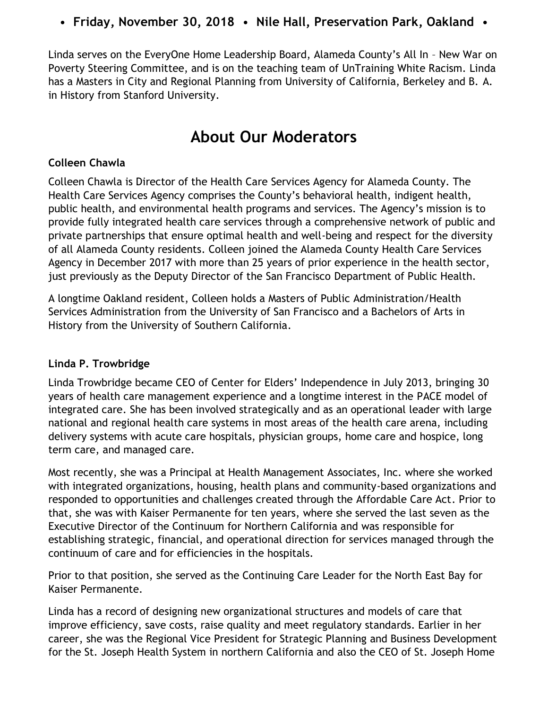• **Friday, November 30, 2018** • **Nile Hall, Preservation Park, Oakland** •

Linda serves on the EveryOne Home Leadership Board, Alameda County's All In – New War on Poverty Steering Committee, and is on the teaching team of UnTraining White Racism. Linda has a Masters in City and Regional Planning from University of California, Berkeley and B. A. in History from Stanford University.

# **About Our Moderators**

#### **Colleen Chawla**

Colleen Chawla is Director of the Health Care Services Agency for Alameda County. The Health Care Services Agency comprises the County's behavioral health, indigent health, public health, and environmental health programs and services. The Agency's mission is to provide fully integrated health care services through a comprehensive network of public and private partnerships that ensure optimal health and well-being and respect for the diversity of all Alameda County residents. Colleen joined the Alameda County Health Care Services Agency in December 2017 with more than 25 years of prior experience in the health sector, just previously as the Deputy Director of the San Francisco Department of Public Health.

A longtime Oakland resident, Colleen holds a Masters of Public Administration/Health Services Administration from the University of San Francisco and a Bachelors of Arts in History from the University of Southern California.

#### **Linda P. Trowbridge**

Linda Trowbridge became CEO of Center for Elders' Independence in July 2013, bringing 30 years of health care management experience and a longtime interest in the PACE model of integrated care. She has been involved strategically and as an operational leader with large national and regional health care systems in most areas of the health care arena, including delivery systems with acute care hospitals, physician groups, home care and hospice, long term care, and managed care.

Most recently, she was a Principal at Health Management Associates, Inc. where she worked with integrated organizations, housing, health plans and community‐based organizations and responded to opportunities and challenges created through the Affordable Care Act. Prior to that, she was with Kaiser Permanente for ten years, where she served the last seven as the Executive Director of the Continuum for Northern California and was responsible for establishing strategic, financial, and operational direction for services managed through the continuum of care and for efficiencies in the hospitals.

Prior to that position, she served as the Continuing Care Leader for the North East Bay for Kaiser Permanente.

Linda has a record of designing new organizational structures and models of care that improve efficiency, save costs, raise quality and meet regulatory standards. Earlier in her career, she was the Regional Vice President for Strategic Planning and Business Development for the St. Joseph Health System in northern California and also the CEO of St. Joseph Home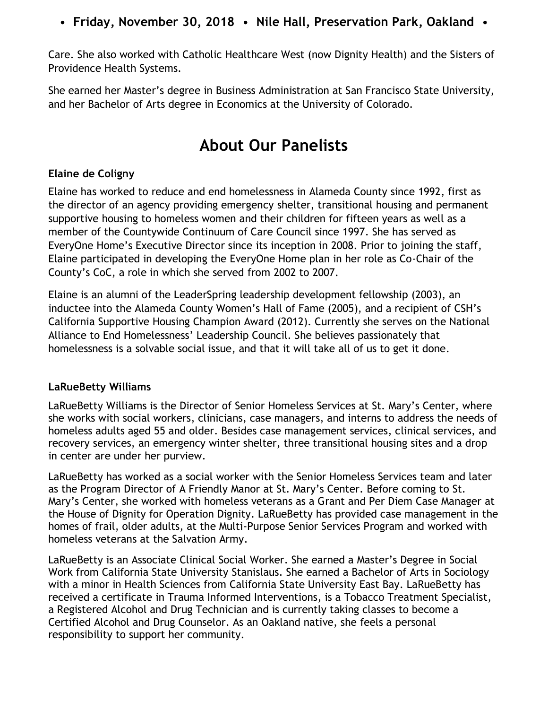Care. She also worked with Catholic Healthcare West (now Dignity Health) and the Sisters of Providence Health Systems.

She earned her Master's degree in Business Administration at San Francisco State University, and her Bachelor of Arts degree in Economics at the University of Colorado.

# **About Our Panelists**

#### **Elaine de Coligny**

Elaine has worked to reduce and end homelessness in Alameda County since 1992, first as the director of an agency providing emergency shelter, transitional housing and permanent supportive housing to homeless women and their children for fifteen years as well as a member of the Countywide Continuum of Care Council since 1997. She has served as EveryOne Home's Executive Director since its inception in 2008. Prior to joining the staff, Elaine participated in developing the EveryOne Home plan in her role as Co-Chair of the County's CoC, a role in which she served from 2002 to 2007.

Elaine is an alumni of the LeaderSpring leadership development fellowship (2003), an inductee into the Alameda County Women's Hall of Fame (2005), and a recipient of CSH's California Supportive Housing Champion Award (2012). Currently she serves on the National Alliance to End Homelessness' Leadership Council. She believes passionately that homelessness is a solvable social issue, and that it will take all of us to get it done.

#### **LaRueBetty Williams**

LaRueBetty Williams is the Director of Senior Homeless Services at St. Mary's Center, where she works with social workers, clinicians, case managers, and interns to address the needs of homeless adults aged 55 and older. Besides case management services, clinical services, and recovery services, an emergency winter shelter, three transitional housing sites and a drop in center are under her purview.

LaRueBetty has worked as a social worker with the Senior Homeless Services team and later as the Program Director of A Friendly Manor at St. Mary's Center. Before coming to St. Mary's Center, she worked with homeless veterans as a Grant and Per Diem Case Manager at the House of Dignity for Operation Dignity. LaRueBetty has provided case management in the homes of frail, older adults, at the Multi-Purpose Senior Services Program and worked with homeless veterans at the Salvation Army.

LaRueBetty is an Associate Clinical Social Worker. She earned a Master's Degree in Social Work from California State University Stanislaus. She earned a Bachelor of Arts in Sociology with a minor in Health Sciences from California State University East Bay. LaRueBetty has received a certificate in Trauma Informed Interventions, is a Tobacco Treatment Specialist, a Registered Alcohol and Drug Technician and is currently taking classes to become a Certified Alcohol and Drug Counselor. As an Oakland native, she feels a personal responsibility to support her community.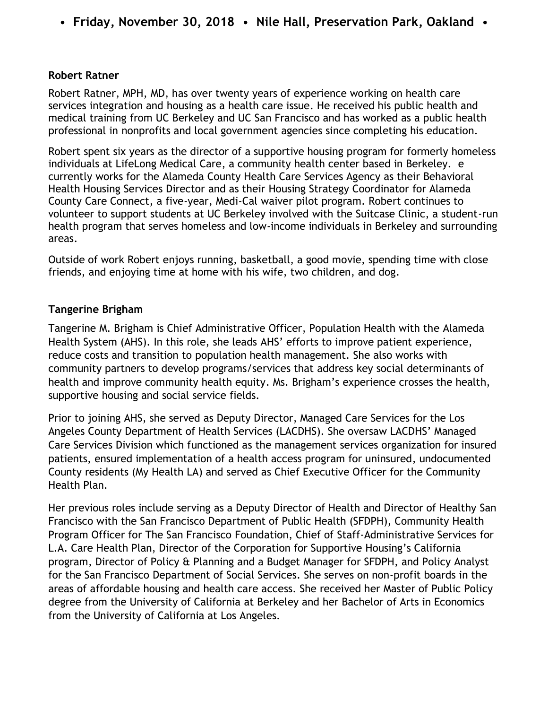#### **Robert Ratner**

Robert Ratner, MPH, MD, has over twenty years of experience working on health care services integration and housing as a health care issue. He received his public health and medical training from UC Berkeley and UC San Francisco and has worked as a public health professional in nonprofits and local government agencies since completing his education.

Robert spent six years as the director of a supportive housing program for formerly homeless individuals at LifeLong Medical Care, a community health center based in Berkeley. e currently works for the Alameda County Health Care Services Agency as their Behavioral Health Housing Services Director and as their Housing Strategy Coordinator for Alameda County Care Connect, a five-year, Medi-Cal waiver pilot program. Robert continues to volunteer to support students at UC Berkeley involved with the Suitcase Clinic, a student-run health program that serves homeless and low-income individuals in Berkeley and surrounding areas.

Outside of work Robert enjoys running, basketball, a good movie, spending time with close friends, and enjoying time at home with his wife, two children, and dog.

#### **Tangerine Brigham**

Tangerine M. Brigham is Chief Administrative Officer, Population Health with the Alameda Health System (AHS). In this role, she leads AHS' efforts to improve patient experience, reduce costs and transition to population health management. She also works with community partners to develop programs/services that address key social determinants of health and improve community health equity. Ms. Brigham's experience crosses the health, supportive housing and social service fields.

Prior to joining AHS, she served as Deputy Director, Managed Care Services for the Los Angeles County Department of Health Services (LACDHS). She oversaw LACDHS' Managed Care Services Division which functioned as the management services organization for insured patients, ensured implementation of a health access program for uninsured, undocumented County residents (My Health LA) and served as Chief Executive Officer for the Community Health Plan.

Her previous roles include serving as a Deputy Director of Health and Director of Healthy San Francisco with the San Francisco Department of Public Health (SFDPH), Community Health Program Officer for The San Francisco Foundation, Chief of Staff-Administrative Services for L.A. Care Health Plan, Director of the Corporation for Supportive Housing's California program, Director of Policy & Planning and a Budget Manager for SFDPH, and Policy Analyst for the San Francisco Department of Social Services. She serves on non-profit boards in the areas of affordable housing and health care access. She received her Master of Public Policy degree from the University of California at Berkeley and her Bachelor of Arts in Economics from the University of California at Los Angeles.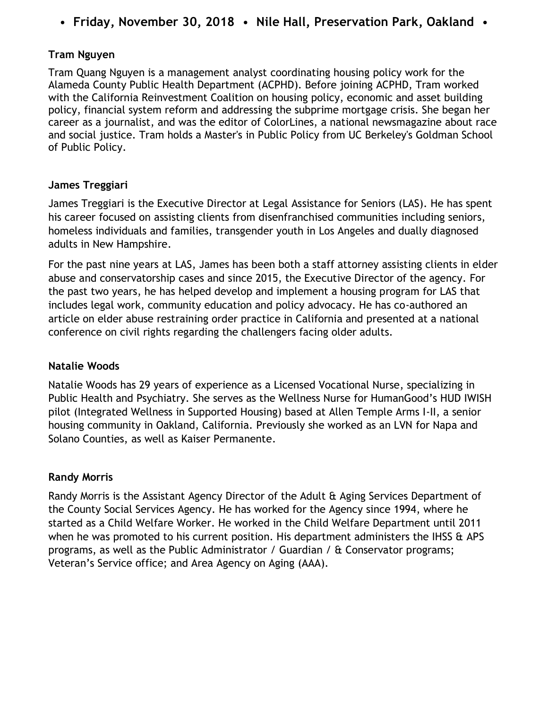#### **Tram Nguyen**

Tram Quang Nguyen is a management analyst coordinating housing policy work for the Alameda County Public Health Department (ACPHD). Before joining ACPHD, Tram worked with the California Reinvestment Coalition on housing policy, economic and asset building policy, financial system reform and addressing the subprime mortgage crisis. She began her career as a journalist, and was the editor of ColorLines, a national newsmagazine about race and social justice. Tram holds a Master's in Public Policy from UC Berkeley's Goldman School of Public Policy.

#### **James Treggiari**

James Treggiari is the Executive Director at Legal Assistance for Seniors (LAS). He has spent his career focused on assisting clients from disenfranchised communities including seniors, homeless individuals and families, transgender youth in Los Angeles and dually diagnosed adults in New Hampshire.

For the past nine years at LAS, James has been both a staff attorney assisting clients in elder abuse and conservatorship cases and since 2015, the Executive Director of the agency. For the past two years, he has helped develop and implement a housing program for LAS that includes legal work, community education and policy advocacy. He has co-authored an article on elder abuse restraining order practice in California and presented at a national conference on civil rights regarding the challengers facing older adults.

#### **Natalie Woods**

Natalie Woods has 29 years of experience as a Licensed Vocational Nurse, specializing in Public Health and Psychiatry. She serves as the Wellness Nurse for HumanGood's HUD IWISH pilot (Integrated Wellness in Supported Housing) based at Allen Temple Arms I-II, a senior housing community in Oakland, California. Previously she worked as an LVN for Napa and Solano Counties, as well as Kaiser Permanente.

#### **Randy Morris**

Randy Morris is the Assistant Agency Director of the Adult & Aging Services Department of the County Social Services Agency. He has worked for the Agency since 1994, where he started as a Child Welfare Worker. He worked in the Child Welfare Department until 2011 when he was promoted to his current position. His department administers the IHSS & APS programs, as well as the Public Administrator / Guardian / & Conservator programs; Veteran's Service office; and Area Agency on Aging (AAA).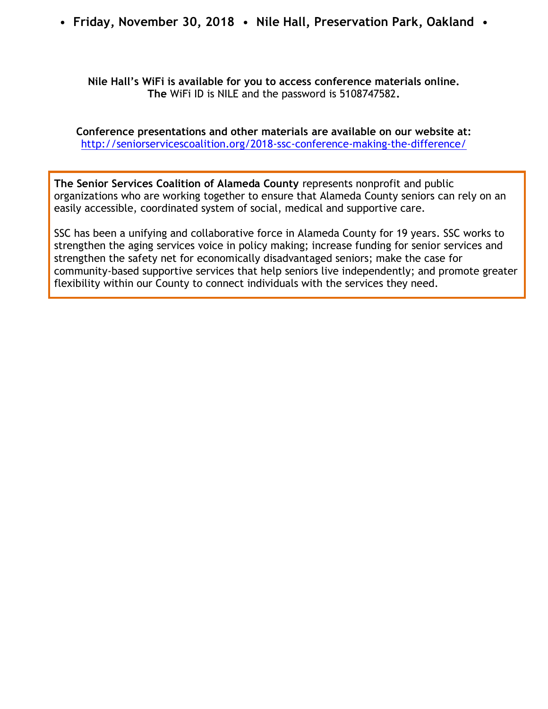#### **Nile Hall's WiFi is available for you to access conference materials online. The** WiFi ID is NILE and the password is 5108747582**.**

**Conference presentations and other materials are available on our website at:**  <http://seniorservicescoalition.org/2018-ssc-conference-making-the-difference/>

**The Senior Services Coalition of Alameda County** represents nonprofit and public organizations who are working together to ensure that Alameda County seniors can rely on an easily accessible, coordinated system of social, medical and supportive care.

SSC has been a unifying and collaborative force in Alameda County for 19 years. SSC works to strengthen the aging services voice in policy making; increase funding for senior services and strengthen the safety net for economically disadvantaged seniors; make the case for community-based supportive services that help seniors live independently; and promote greater flexibility within our County to connect individuals with the services they need.